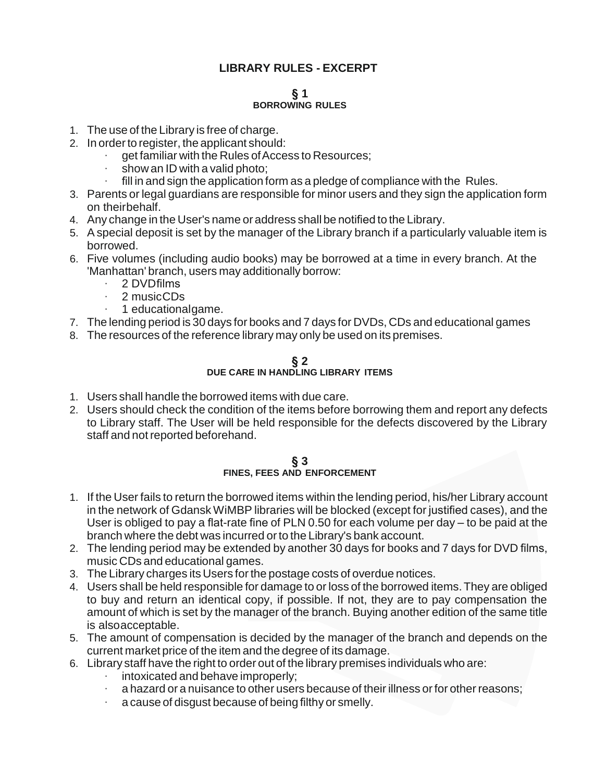# **LIBRARY RULES - EXCERPT**

### **§ 1 BORROWING RULES**

- 1. The use of the Library is free of charge.
- 2. In order to register, the applicant should:
	- get familiar with the Rules of Access to Resources;
	- show an ID with a valid photo;
	- fill in and sign the application form as a pledge of compliance with the Rules.
- 3. Parents or legal guardians are responsible for minor users and they sign the application form on theirbehalf.
- 4. Any change in the User's name or address shall be notified to the Library.
- 5. Aspecial deposit is set by the manager of the Library branch if a particularly valuable item is borrowed.
- 6. Five volumes (including audio books) may be borrowed at a time in every branch. At the 'Manhattan' branch, users may additionally borrow:
	- · 2 DVDfilms
	- · 2 musicCDs
	- · 1 educationalgame.
- 7. The lending period is 30 days for books and 7 days for DVDs, CDs and educational games
- 8. The resources of the reference library may only be used on its premises.

# **§ 2 DUE CARE IN HANDLING LIBRARY ITEMS**

- 1. Users shall handle the borrowed items with due care.
- 2. Users should check the condition of the items before borrowing them and report any defects to Library staff. The User will be held responsible for the defects discovered by the Library staff and not reported beforehand.

# **§ 3 FINES, FEES AND ENFORCEMENT**

- 1. If the User fails to return the borrowed items within the lending period, his/her Library account in the network of Gdansk WiMBP libraries will be blocked (except for justified cases), and the User is obliged to pay a flat-rate fine of PLN 0.50 for each volume per day – to be paid at the branch where the debt was incurred or to the Library's bank account.
- 2. The lending period may be extended by another 30 days for books and 7 days for DVD films, music CDs and educational games.
- 3. The Library charges its Users for the postage costs of overdue notices.
- 4. Users shall be held responsible for damage to or loss of the borrowed items.They are obliged to buy and return an identical copy, if possible. If not, they are to pay compensation the amount of which is set by the manager of the branch. Buying another edition of the same title is alsoacceptable.
- 5. The amount of compensation is decided by the manager of the branch and depends on the current market price of the item and the degree of its damage.
- 6. Library staff have the right to order out of the library premises individuals who are:
	- · intoxicated and behave improperly;
	- a hazard or a nuisance to other users because of their illness or for other reasons;
	- a cause of disgust because of being filthy or smelly.